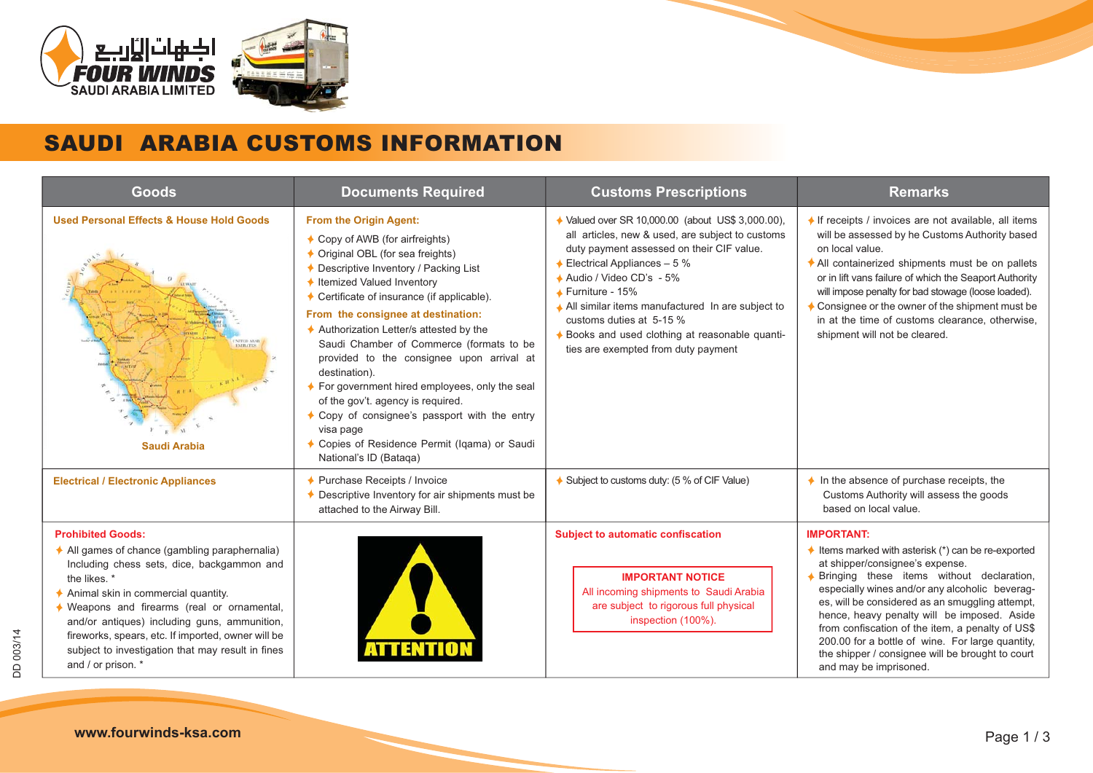

## SAUDI ARABIA CUSTOMS INFORMATION

| <b>Goods</b>                                                                                                                                                                                                                                                                                                                                                                                                  | <b>Documents Required</b>                                                                                                                                                                                                                                                                                                                                                                                                                                                                                                                                                                                                                           | <b>Customs Prescriptions</b>                                                                                                                                                                                                                                                                                                                                                                                            | <b>Remarks</b>                                                                                                                                                                                                                                                                                                                                                                                                                                                                                                 |
|---------------------------------------------------------------------------------------------------------------------------------------------------------------------------------------------------------------------------------------------------------------------------------------------------------------------------------------------------------------------------------------------------------------|-----------------------------------------------------------------------------------------------------------------------------------------------------------------------------------------------------------------------------------------------------------------------------------------------------------------------------------------------------------------------------------------------------------------------------------------------------------------------------------------------------------------------------------------------------------------------------------------------------------------------------------------------------|-------------------------------------------------------------------------------------------------------------------------------------------------------------------------------------------------------------------------------------------------------------------------------------------------------------------------------------------------------------------------------------------------------------------------|----------------------------------------------------------------------------------------------------------------------------------------------------------------------------------------------------------------------------------------------------------------------------------------------------------------------------------------------------------------------------------------------------------------------------------------------------------------------------------------------------------------|
| <b>Used Personal Effects &amp; House Hold Goods</b><br><b>Saudi Arabia</b>                                                                                                                                                                                                                                                                                                                                    | From the Origin Agent:<br>← Copy of AWB (for airfreights)<br>♦ Original OBL (for sea freights)<br>← Descriptive Inventory / Packing List<br>← Itemized Valued Inventory<br>♦ Certificate of insurance (if applicable).<br>From the consignee at destination:<br>↑ Authorization Letter/s attested by the<br>Saudi Chamber of Commerce (formats to be<br>provided to the consignee upon arrival at<br>destination).<br>♦ For government hired employees, only the seal<br>of the gov't. agency is required.<br>♦ Copy of consignee's passport with the entry<br>visa page<br>♦ Copies of Residence Permit (Iqama) or Saudi<br>National's ID (Bataqa) | ♦ Valued over SR 10,000.00 (about US\$ 3,000.00),<br>all articles, new & used, are subject to customs<br>duty payment assessed on their CIF value.<br>Electrical Appliances - 5 %<br>↑ Audio / Video CD's - 5%<br>$\triangle$ Furniture - 15%<br>All similar items manufactured In are subject to<br>customs duties at 5-15 %<br>♦ Books and used clothing at reasonable quanti-<br>ties are exempted from duty payment | $\bigstar$ If receipts / invoices are not available, all items<br>will be assessed by he Customs Authority based<br>on local value.<br>All containerized shipments must be on pallets<br>or in lift vans failure of which the Seaport Authority<br>will impose penalty for bad stowage (loose loaded).<br>$\triangle$ Consignee or the owner of the shipment must be<br>in at the time of customs clearance, otherwise,<br>shipment will not be cleared.                                                       |
| <b>Electrical / Electronic Appliances</b>                                                                                                                                                                                                                                                                                                                                                                     | ♦ Purchase Receipts / Invoice<br>↑ Descriptive Inventory for air shipments must be<br>attached to the Airway Bill.                                                                                                                                                                                                                                                                                                                                                                                                                                                                                                                                  | ♦ Subject to customs duty: (5 % of CIF Value)                                                                                                                                                                                                                                                                                                                                                                           | $\bigstar$ In the absence of purchase receipts, the<br>Customs Authority will assess the goods<br>based on local value.                                                                                                                                                                                                                                                                                                                                                                                        |
| <b>Prohibited Goods:</b><br>All games of chance (gambling paraphernalia)<br>Including chess sets, dice, backgammon and<br>the likes. *<br>Animal skin in commercial quantity.<br>♦ Weapons and firearms (real or ornamental,<br>and/or antiques) including guns, ammunition,<br>fireworks, spears, etc. If imported, owner will be<br>subject to investigation that may result in fines<br>and / or prison. * |                                                                                                                                                                                                                                                                                                                                                                                                                                                                                                                                                                                                                                                     | <b>Subject to automatic confiscation</b><br><b>IMPORTANT NOTICE</b><br>All incoming shipments to Saudi Arabia<br>are subject to rigorous full physical<br>inspection (100%).                                                                                                                                                                                                                                            | <b>IMPORTANT:</b><br>$\triangle$ Items marked with asterisk (*) can be re-exported<br>at shipper/consignee's expense.<br>♦ Bringing these items without declaration,<br>especially wines and/or any alcoholic beverag-<br>es, will be considered as an smuggling attempt,<br>hence, heavy penalty will be imposed. Aside<br>from confiscation of the item, a penalty of US\$<br>200.00 for a bottle of wine. For large quantity,<br>the shipper / consignee will be brought to court<br>and may be imprisoned. |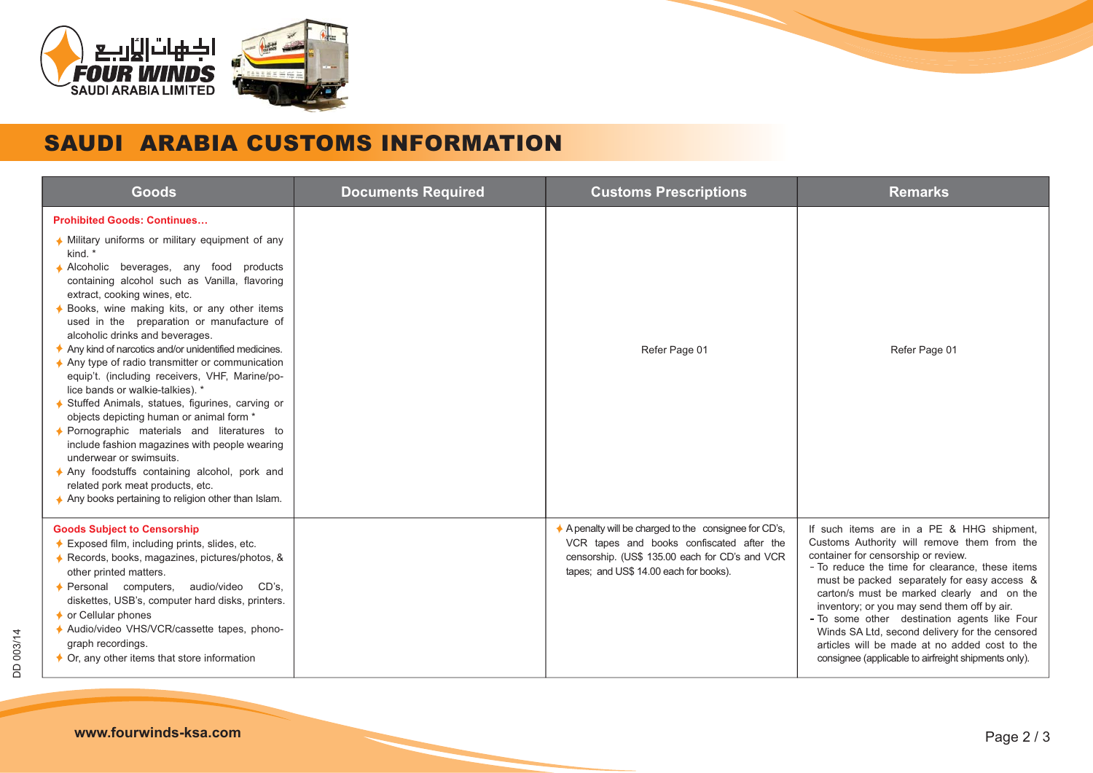

## SAUDI ARABIA CUSTOMS INFORMATION

| Goods                                                                                                                                                                                                                                                                                                                                                                                                                                                                                                                                                                                                                                                                                                                                                                                                                                                                                                                                                      | <b>Documents Required</b> | <b>Customs Prescriptions</b>                                                                                                                                                                  | <b>Remarks</b>                                                                                                                                                                                                                                                                                                                                                                                                                                                                                                                            |
|------------------------------------------------------------------------------------------------------------------------------------------------------------------------------------------------------------------------------------------------------------------------------------------------------------------------------------------------------------------------------------------------------------------------------------------------------------------------------------------------------------------------------------------------------------------------------------------------------------------------------------------------------------------------------------------------------------------------------------------------------------------------------------------------------------------------------------------------------------------------------------------------------------------------------------------------------------|---------------------------|-----------------------------------------------------------------------------------------------------------------------------------------------------------------------------------------------|-------------------------------------------------------------------------------------------------------------------------------------------------------------------------------------------------------------------------------------------------------------------------------------------------------------------------------------------------------------------------------------------------------------------------------------------------------------------------------------------------------------------------------------------|
| <b>Prohibited Goods: Continues</b><br>♦ Military uniforms or military equipment of any<br>kind. *<br>Alcoholic beverages, any food products<br>containing alcohol such as Vanilla, flavoring<br>extract, cooking wines, etc.<br>♦ Books, wine making kits, or any other items<br>used in the preparation or manufacture of<br>alcoholic drinks and beverages.<br>Any kind of narcotics and/or unidentified medicines.<br>$\triangle$ Any type of radio transmitter or communication<br>equip't. (including receivers, VHF, Marine/po-<br>lice bands or walkie-talkies). *<br>♦ Stuffed Animals, statues, figurines, carving or<br>objects depicting human or animal form *<br>♦ Pornographic materials and literatures to<br>include fashion magazines with people wearing<br>underwear or swimsuits.<br>Any foodstuffs containing alcohol, pork and<br>related pork meat products, etc.<br>$\triangle$ Any books pertaining to religion other than Islam. |                           | Refer Page 01                                                                                                                                                                                 | Refer Page 01                                                                                                                                                                                                                                                                                                                                                                                                                                                                                                                             |
| <b>Goods Subject to Censorship</b><br>♦ Exposed film, including prints, slides, etc.<br>♦ Records, books, magazines, pictures/photos, &<br>other printed matters.<br>CD's.<br>♦ Personal computers, audio/video<br>diskettes, USB's, computer hard disks, printers.<br>$\rightarrow$ or Cellular phones<br>↑ Audio/video VHS/VCR/cassette tapes, phono-<br>graph recordings.<br>$\bigstar$ Or, any other items that store information                                                                                                                                                                                                                                                                                                                                                                                                                                                                                                                      |                           | A penalty will be charged to the consignee for CD's,<br>VCR tapes and books confiscated after the<br>censorship. (US\$ 135.00 each for CD's and VCR<br>tapes; and US\$ 14.00 each for books). | If such items are in a PE & HHG shipment,<br>Customs Authority will remove them from the<br>container for censorship or review.<br>- To reduce the time for clearance, these items<br>must be packed separately for easy access &<br>carton/s must be marked clearly and on the<br>inventory; or you may send them off by air.<br>- To some other destination agents like Four<br>Winds SA Ltd, second delivery for the censored<br>articles will be made at no added cost to the<br>consignee (applicable to airfreight shipments only). |